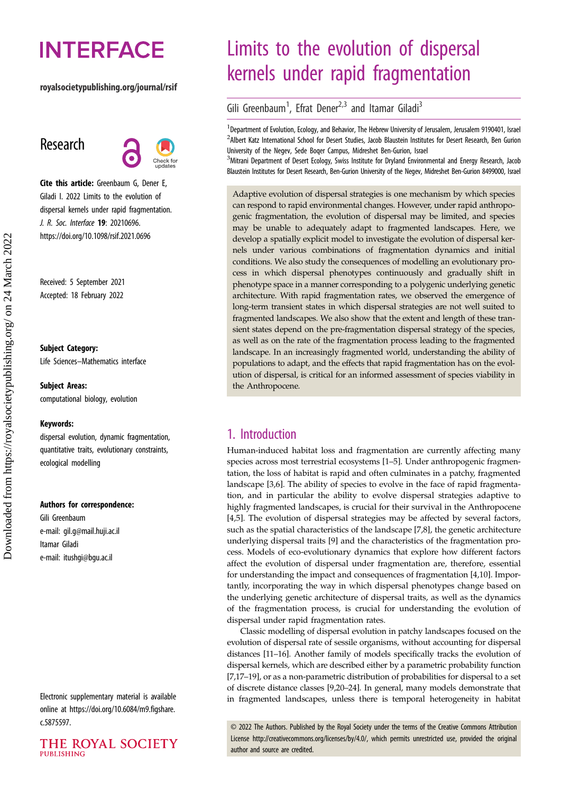# **INTERFACE**

#### royalsocietypublishing.org/journal/rsif

## Research



Cite this article: Greenbaum G, Dener E, Giladi I. 2022 Limits to the evolution of dispersal kernels under rapid fragmentation. J. R. Soc. Interface 19: 20210696. https://doi.org/10.1098/rsif.2021.0696

Received: 5 September 2021 Accepted: 18 February 2022

#### Subject Category:

Life Sciences–Mathematics interface

#### Subject Areas:

computational biology, evolution

#### Keywords:

dispersal evolution, dynamic fragmentation, quantitative traits, evolutionary constraints, ecological modelling

#### Authors for correspondence:

Gili Greenbaum e-mail: [gil.g@mail.huji.ac.il](mailto:gil.g@mail.huji.ac.il) Itamar Giladi e-mail: [itushgi@bgu.ac.il](mailto:itushgi@bgu.ac.il)

Electronic supplementary material is available online at [https://doi.org/10.6084/m9.figshare.](https://doi.org/10.6084/m9.figshare.c.5875597) [c.5875597.](https://doi.org/10.6084/m9.figshare.c.5875597)



## Limits to the evolution of dispersal kernels under rapid fragmentation

Gili Greenbaum<sup>1</sup>, Efrat Dener<sup>2,3</sup> and Itamar Giladi<sup>3</sup>

<sup>1</sup> Department of Evolution, Ecology, and Behavior, The Hebrew University of Jerusalem, Jerusalem 9190401, Israel <sup>2</sup> Albert Katz International School for Desert Studies, Jacob Blaustein Institutes for Desert Research, Ben Gurion University of the Negev, Sede Boqer Campus, Midreshet Ben-Gurion, Israel

<sup>3</sup>Mitrani Department of Desert Ecology, Swiss Institute for Dryland Environmental and Energy Research, Jacob Blaustein Institutes for Desert Research, Ben-Gurion University of the Negev, Midreshet Ben-Gurion 8499000, Israel

Adaptive evolution of dispersal strategies is one mechanism by which species can respond to rapid environmental changes. However, under rapid anthropogenic fragmentation, the evolution of dispersal may be limited, and species may be unable to adequately adapt to fragmented landscapes. Here, we develop a spatially explicit model to investigate the evolution of dispersal kernels under various combinations of fragmentation dynamics and initial conditions. We also study the consequences of modelling an evolutionary process in which dispersal phenotypes continuously and gradually shift in phenotype space in a manner corresponding to a polygenic underlying genetic architecture. With rapid fragmentation rates, we observed the emergence of long-term transient states in which dispersal strategies are not well suited to fragmented landscapes. We also show that the extent and length of these transient states depend on the pre-fragmentation dispersal strategy of the species, as well as on the rate of the fragmentation process leading to the fragmented landscape. In an increasingly fragmented world, understanding the ability of populations to adapt, and the effects that rapid fragmentation has on the evolution of dispersal, is critical for an informed assessment of species viability in the Anthropocene.

## 1. Introduction

Human-induced habitat loss and fragmentation are currently affecting many species across most terrestrial ecosystems [[1](#page-7-0)–[5](#page-7-0)]. Under anthropogenic fragmentation, the loss of habitat is rapid and often culminates in a patchy, fragmented landscape [\[3,6](#page-7-0)]. The ability of species to evolve in the face of rapid fragmentation, and in particular the ability to evolve dispersal strategies adaptive to highly fragmented landscapes, is crucial for their survival in the Anthropocene [[4](#page-7-0),[5](#page-7-0)]. The evolution of dispersal strategies may be affected by several factors, such as the spatial characteristics of the landscape [\[7](#page-7-0)[,8\]](#page-8-0), the genetic architecture underlying dispersal traits [\[9\]](#page-8-0) and the characteristics of the fragmentation process. Models of eco-evolutionary dynamics that explore how different factors affect the evolution of dispersal under fragmentation are, therefore, essential for understanding the impact and consequences of fragmentation [\[4,](#page-7-0)[10\]](#page-8-0). Importantly, incorporating the way in which dispersal phenotypes change based on the underlying genetic architecture of dispersal traits, as well as the dynamics of the fragmentation process, is crucial for understanding the evolution of dispersal under rapid fragmentation rates.

Classic modelling of dispersal evolution in patchy landscapes focused on the evolution of dispersal rate of sessile organisms, without accounting for dispersal distances [\[11](#page-8-0)–[16\]](#page-8-0). Another family of models specifically tracks the evolution of dispersal kernels, which are described either by a parametric probability function [[7](#page-7-0)[,17](#page-8-0)–[19](#page-8-0)], or as a non-parametric distribution of probabilities for dispersal to a set of discrete distance classes [\[9](#page-8-0),[20](#page-8-0)–[24\]](#page-8-0). In general, many models demonstrate that in fragmented landscapes, unless there is temporal heterogeneity in habitat

© 2022 The Authors. Published by the Royal Society under the terms of the Creative Commons Attribution License<http://creativecommons.org/licenses/by/4.0/>, which permits unrestricted use, provided the original author and source are credited.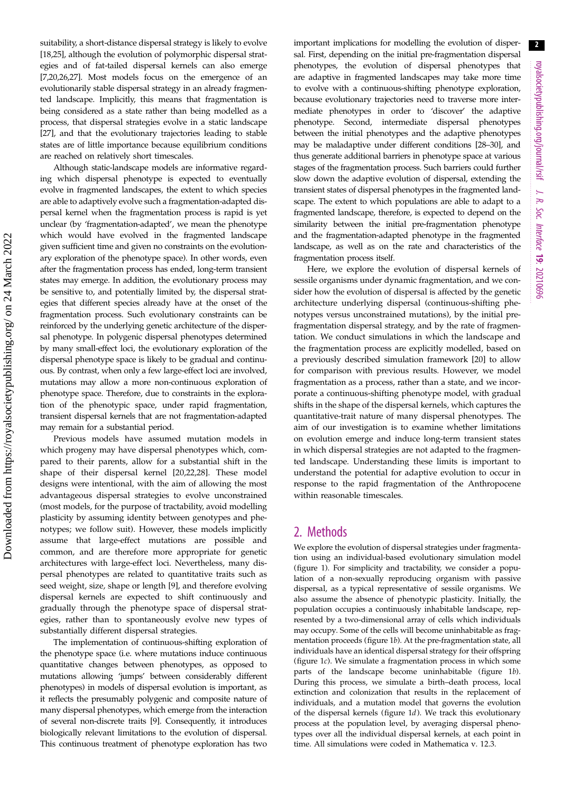suitability, a short-distance dispersal strategy is likely to evolve [\[18,25](#page-8-0)], although the evolution of polymorphic dispersal strategies and of fat-tailed dispersal kernels can also emerge [\[7,](#page-7-0)[20,26,27\]](#page-8-0). Most models focus on the emergence of an evolutionarily stable dispersal strategy in an already fragmented landscape. Implicitly, this means that fragmentation is being considered as a state rather than being modelled as a process, that dispersal strategies evolve in a static landscape [\[27](#page-8-0)], and that the evolutionary trajectories leading to stable states are of little importance because equilibrium conditions are reached on relatively short timescales.

Although static-landscape models are informative regarding which dispersal phenotype is expected to eventually evolve in fragmented landscapes, the extent to which species are able to adaptively evolve such a fragmentation-adapted dispersal kernel when the fragmentation process is rapid is yet unclear (by 'fragmentation-adapted', we mean the phenotype which would have evolved in the fragmented landscape given sufficient time and given no constraints on the evolutionary exploration of the phenotype space). In other words, even after the fragmentation process has ended, long-term transient states may emerge. In addition, the evolutionary process may be sensitive to, and potentially limited by, the dispersal strategies that different species already have at the onset of the fragmentation process. Such evolutionary constraints can be reinforced by the underlying genetic architecture of the dispersal phenotype. In polygenic dispersal phenotypes determined by many small-effect loci, the evolutionary exploration of the dispersal phenotype space is likely to be gradual and continuous. By contrast, when only a few large-effect loci are involved, mutations may allow a more non-continuous exploration of phenotype space. Therefore, due to constraints in the exploration of the phenotypic space, under rapid fragmentation, transient dispersal kernels that are not fragmentation-adapted may remain for a substantial period.

Previous models have assumed mutation models in which progeny may have dispersal phenotypes which, compared to their parents, allow for a substantial shift in the shape of their dispersal kernel [\[20](#page-8-0),[22,28\]](#page-8-0). These model designs were intentional, with the aim of allowing the most advantageous dispersal strategies to evolve unconstrained (most models, for the purpose of tractability, avoid modelling plasticity by assuming identity between genotypes and phenotypes; we follow suit). However, these models implicitly assume that large-effect mutations are possible and common, and are therefore more appropriate for genetic architectures with large-effect loci. Nevertheless, many dispersal phenotypes are related to quantitative traits such as seed weight, size, shape or length [[9](#page-8-0)], and therefore evolving dispersal kernels are expected to shift continuously and gradually through the phenotype space of dispersal strategies, rather than to spontaneously evolve new types of substantially different dispersal strategies.

The implementation of continuous-shifting exploration of the phenotype space (i.e. where mutations induce continuous quantitative changes between phenotypes, as opposed to mutations allowing 'jumps' between considerably different phenotypes) in models of dispersal evolution is important, as it reflects the presumably polygenic and composite nature of many dispersal phenotypes, which emerge from the interaction of several non-discrete traits [\[9\]](#page-8-0). Consequently, it introduces biologically relevant limitations to the evolution of dispersal. This continuous treatment of phenotype exploration has two

important implications for modelling the evolution of dispersal. First, depending on the initial pre-fragmentation dispersal phenotypes, the evolution of dispersal phenotypes that are adaptive in fragmented landscapes may take more time to evolve with a continuous-shifting phenotype exploration, because evolutionary trajectories need to traverse more intermediate phenotypes in order to 'discover' the adaptive phenotype. Second, intermediate dispersal phenotypes between the initial phenotypes and the adaptive phenotypes may be maladaptive under different conditions [\[28](#page-8-0)–[30\]](#page-8-0), and thus generate additional barriers in phenotype space at various stages of the fragmentation process. Such barriers could further slow down the adaptive evolution of dispersal, extending the transient states of dispersal phenotypes in the fragmented landscape. The extent to which populations are able to adapt to a fragmented landscape, therefore, is expected to depend on the similarity between the initial pre-fragmentation phenotype and the fragmentation-adapted phenotype in the fragmented landscape, as well as on the rate and characteristics of the fragmentation process itself.

Here, we explore the evolution of dispersal kernels of sessile organisms under dynamic fragmentation, and we consider how the evolution of dispersal is affected by the genetic architecture underlying dispersal (continuous-shifting phenotypes versus unconstrained mutations), by the initial prefragmentation dispersal strategy, and by the rate of fragmentation. We conduct simulations in which the landscape and the fragmentation process are explicitly modelled, based on a previously described simulation framework [[20\]](#page-8-0) to allow for comparison with previous results. However, we model fragmentation as a process, rather than a state, and we incorporate a continuous-shifting phenotype model, with gradual shifts in the shape of the dispersal kernels, which captures the quantitative-trait nature of many dispersal phenotypes. The aim of our investigation is to examine whether limitations on evolution emerge and induce long-term transient states in which dispersal strategies are not adapted to the fragmented landscape. Understanding these limits is important to understand the potential for adaptive evolution to occur in response to the rapid fragmentation of the Anthropocene within reasonable timescales.

## 2. Methods

We explore the evolution of dispersal strategies under fragmentation using an individual-based evolutionary simulation model ([figure 1](#page-2-0)). For simplicity and tractability, we consider a population of a non-sexually reproducing organism with passive dispersal, as a typical representative of sessile organisms. We also assume the absence of phenotypic plasticity. Initially, the population occupies a continuously inhabitable landscape, represented by a two-dimensional array of cells which individuals may occupy. Some of the cells will become uninhabitable as fragmentation proceeds [\(figure 1](#page-2-0)b). At the pre-fragmentation state, all individuals have an identical dispersal strategy for their offspring ([figure 1](#page-2-0)c). We simulate a fragmentation process in which some parts of the landscape become uninhabitable [\(figure 1](#page-2-0)b). During this process, we simulate a birth–death process, local extinction and colonization that results in the replacement of individuals, and a mutation model that governs the evolution of the dispersal kernels [\(figure 1](#page-2-0)d). We track this evolutionary process at the population level, by averaging dispersal phenotypes over all the individual dispersal kernels, at each point in time. All simulations were coded in Mathematica v. 12.3.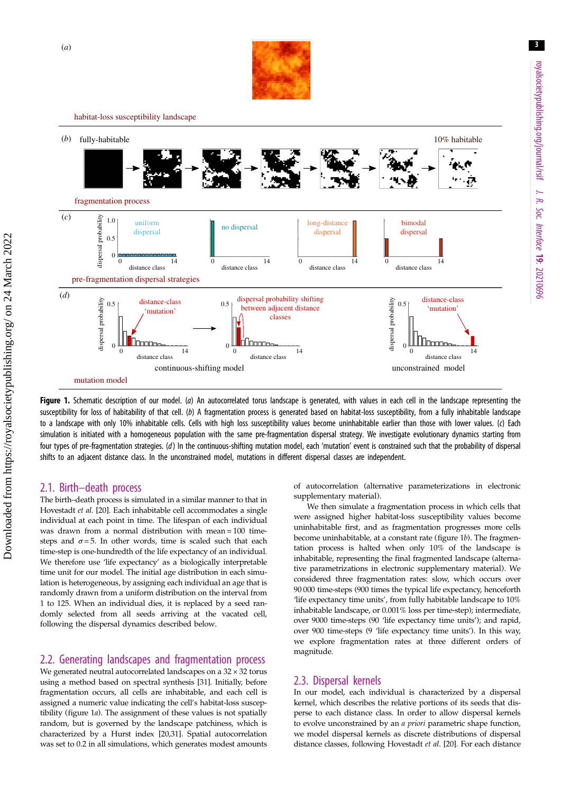

habitat-loss susceptibility landscape

<span id="page-2-0"></span>

Figure 1. Schematic description of our model. (a) An autocorrelated torus landscape is generated, with values in each cell in the landscape representing the susceptibility for loss of habitability of that cell. (b) A fragmentation process is generated based on habitat-loss susceptibility, from a fully inhabitable landscape to a landscape with only 10% inhabitable cells. Cells with high loss susceptibility values become uninhabitable earlier than those with lower values. (c) Each simulation is initiated with a homogeneous population with the same pre-fragmentation dispersal strategy. We investigate evolutionary dynamics starting from four types of pre-fragmentation strategies. (d) In the continuous-shifting mutation model, each 'mutation' event is constrained such that the probability of dispersal shifts to an adjacent distance class. In the unconstrained model, mutations in different dispersal classes are independent.

#### 2.1. Birth–death process

The birth–death process is simulated in a similar manner to that in Hovestadt et al. [\[20\]](#page-8-0). Each inhabitable cell accommodates a single individual at each point in time. The lifespan of each individual was drawn from a normal distribution with mean = 100 timesteps and  $\sigma = 5$ . In other words, time is scaled such that each time-step is one-hundredth of the life expectancy of an individual. We therefore use 'life expectancy' as a biologically interpretable time unit for our model. The initial age distribution in each simulation is heterogeneous, by assigning each individual an age that is randomly drawn from a uniform distribution on the interval from 1 to 125. When an individual dies, it is replaced by a seed randomly selected from all seeds arriving at the vacated cell, following the dispersal dynamics described below.

#### 2.2. Generating landscapes and fragmentation process

We generated neutral autocorrelated landscapes on a  $32 \times 32$  torus using a method based on spectral synthesis [\[31](#page-8-0)]. Initially, before fragmentation occurs, all cells are inhabitable, and each cell is assigned a numeric value indicating the cell's habitat-loss susceptibility (figure 1a). The assignment of these values is not spatially random, but is governed by the landscape patchiness, which is characterized by a Hurst index [\[20,31\]](#page-8-0). Spatial autocorrelation was set to 0.2 in all simulations, which generates modest amounts of autocorrelation (alternative parameterizations in electronic supplementary material).

We then simulate a fragmentation process in which cells that were assigned higher habitat-loss susceptibility values become uninhabitable first, and as fragmentation progresses more cells become uninhabitable, at a constant rate (figure 1b). The fragmentation process is halted when only 10% of the landscape is inhabitable, representing the final fragmented landscape (alternative parametrizations in electronic supplementary material). We considered three fragmentation rates: slow, which occurs over 90 000 time-steps (900 times the typical life expectancy, henceforth 'life expectancy time units', from fully habitable landscape to 10% inhabitable landscape, or 0.001% loss per time-step); intermediate, over 9000 time-steps (90 'life expectancy time units'); and rapid, over 900 time-steps (9 'life expectancy time units'). In this way, we explore fragmentation rates at three different orders of magnitude.

#### 2.3. Dispersal kernels

In our model, each individual is characterized by a dispersal kernel, which describes the relative portions of its seeds that disperse to each distance class. In order to allow dispersal kernels to evolve unconstrained by an a priori parametric shape function, we model dispersal kernels as discrete distributions of dispersal distance classes, following Hovestadt et al. [\[20\]](#page-8-0). For each distance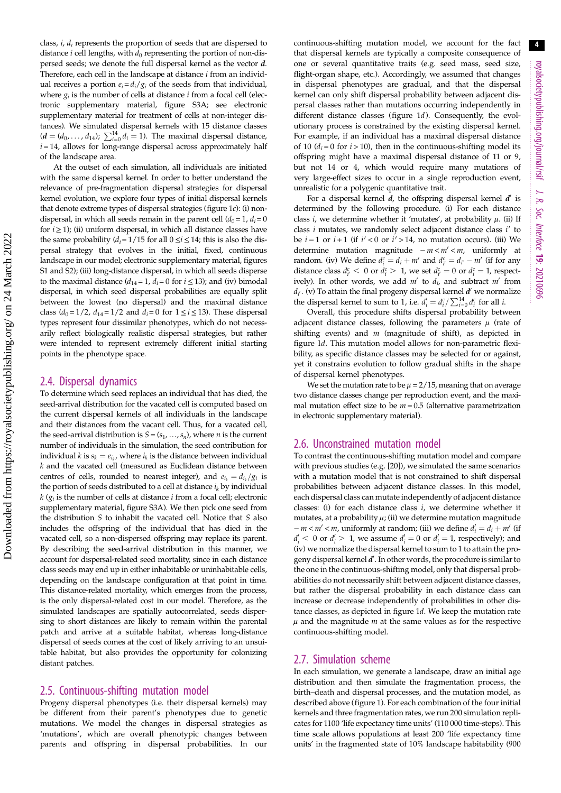class,  $i$ ,  $d_i$  represents the proportion of seeds that are dispersed to distance  $i$  cell lengths, with  $d_0$  representing the portion of non-dispersed seeds; we denote the full dispersal kernel as the vector d. Therefore, each cell in the landscape at distance  $i$  from an individual receives a portion  $e_i = d_i/g_i$  of the seeds from that individual, where  $g_i$  is the number of cells at distance *i* from a focal cell (electronic supplementary material, figure S3A; see electronic supplementary material for treatment of cells at non-integer distances). We simulated dispersal kernels with 15 distance classes  $(d = (d_0, ..., d_{14}); \sum_{i=0}^{14} d_i = 1)$ . The maximal dispersal distance,  $i = 14$ , allows for long-range dispersal across approximately half of the landscape area.

At the outset of each simulation, all individuals are initiated with the same dispersal kernel. In order to better understand the relevance of pre-fragmentation dispersal strategies for dispersal kernel evolution, we explore four types of initial dispersal kernels that denote extreme types of dispersal strategies [\(figure 1](#page-2-0)c): (i) nondispersal, in which all seeds remain in the parent cell  $(d_0 = 1, d_i = 0)$ for  $i \ge 1$ ); (ii) uniform dispersal, in which all distance classes have the same probability ( $d_i = 1/15$  for all  $0 \le i \le 14$ ; this is also the dispersal strategy that evolves in the initial, fixed, continuous landscape in our model; electronic supplementary material, figures S1 and S2); (iii) long-distance dispersal, in which all seeds disperse to the maximal distance  $(d_{14}=1, d_i=0$  for  $i \le 13$ ); and (iv) bimodal dispersal, in which seed dispersal probabilities are equally split between the lowest (no dispersal) and the maximal distance class ( $d_0 = 1/2$ ,  $d_{14} = 1/2$  and  $d_i = 0$  for  $1 \le i \le 13$ ). These dispersal types represent four dissimilar phenotypes, which do not necessarily reflect biologically realistic dispersal strategies, but rather were intended to represent extremely different initial starting points in the phenotype space.

#### 2.4. Dispersal dynamics

To determine which seed replaces an individual that has died, the seed-arrival distribution for the vacated cell is computed based on the current dispersal kernels of all individuals in the landscape and their distances from the vacant cell. Thus, for a vacated cell, the seed-arrival distribution is  $S = (s_1, \ldots, s_n)$ , where *n* is the current number of individuals in the simulation, the seed contribution for individual  $k$  is  $s_k = e_{i_k}$ , where  $i_k$  is the distance between individual  $k$  and the vacated cell (measured as Euclidean distance between centres of cells, rounded to nearest integer), and  $e_{i_k} = d_{i_k}/g_i$  is the portion of seeds distributed to a cell at distance  $i_k$  by individual  $k$  ( $g_i$  is the number of cells at distance *i* from a focal cell; electronic supplementary material, figure S3A). We then pick one seed from the distribution S to inhabit the vacated cell. Notice that S also includes the offspring of the individual that has died in the vacated cell, so a non-dispersed offspring may replace its parent. By describing the seed-arrival distribution in this manner, we account for dispersal-related seed mortality, since in each distance class seeds may end up in either inhabitable or uninhabitable cells, depending on the landscape configuration at that point in time. This distance-related mortality, which emerges from the process, is the only dispersal-related cost in our model. Therefore, as the simulated landscapes are spatially autocorrelated, seeds dispersing to short distances are likely to remain within the parental patch and arrive at a suitable habitat, whereas long-distance dispersal of seeds comes at the cost of likely arriving to an unsuitable habitat, but also provides the opportunity for colonizing distant patches.

#### 2.5. Continuous-shifting mutation model

Progeny dispersal phenotypes (i.e. their dispersal kernels) may be different from their parent's phenotypes due to genetic mutations. We model the changes in dispersal strategies as 'mutations', which are overall phenotypic changes between parents and offspring in dispersal probabilities. In our continuous-shifting mutation model, we account for the fact that dispersal kernels are typically a composite consequence of one or several quantitative traits (e.g. seed mass, seed size, flight-organ shape, etc.). Accordingly, we assumed that changes in dispersal phenotypes are gradual, and that the dispersal kernel can only shift dispersal probability between adjacent dispersal classes rather than mutations occurring independently in different distance classes [\(figure 1](#page-2-0)d). Consequently, the evolutionary process is constrained by the existing dispersal kernel. For example, if an individual has a maximal dispersal distance of 10 ( $d_i = 0$  for  $i > 10$ ), then in the continuous-shifting model its offspring might have a maximal dispersal distance of 11 or 9, but not 14 or 4, which would require many mutations of very large-effect sizes to occur in a single reproduction event, unrealistic for a polygenic quantitative trait.

For a dispersal kernel  $d$ , the offspring dispersal kernel  $d'$  is determined by the following procedure. (i) For each distance class *i*, we determine whether it 'mutates', at probability  $\mu$ . (ii) If class  $i$  mutates, we randomly select adjacent distance class  $i'$  to be  $i - 1$  or  $i + 1$  (if  $i' < 0$  or  $i' > 14$ , no mutation occurs). (iii) We determine mutation magnitude  $− m < m' < m$ , uniformly at random. (iv) We define  $d_i^c = d_i + m'$  and  $d_{i'}^c = d_{i'} - m'$  (if for any distance class  $d_{i'}^c < 0$  or  $d_i^c > 1$ , we set  $d_{i'}^c = 0$  or  $d_i^c = 1$ , respectively). In other words, we add  $m'$  to  $d_i$ , and subtract  $m'$  from  $d_i$ . (v) To attain the final progeny dispersal kernel  $d'$  we normalize the dispersal kernel to sum to 1, i.e.  $d'_i = d_i^c / \sum_{i=0}^{14} d_i^c$  for all *i*.

Overall, this procedure shifts dispersal probability between adjacent distance classes, following the parameters  $\mu$  (rate of shifting events) and  $m$  (magnitude of shift), as depicted in [figure 1](#page-2-0)d. This mutation model allows for non-parametric flexibility, as specific distance classes may be selected for or against, yet it constrains evolution to follow gradual shifts in the shape of dispersal kernel phenotypes.

We set the mutation rate to be  $\mu = 2/15$ , meaning that on average two distance classes change per reproduction event, and the maximal mutation effect size to be  $m = 0.5$  (alternative parametrization in electronic supplementary material).

#### 2.6. Unconstrained mutation model

To contrast the continuous-shifting mutation model and compare with previous studies (e.g. [\[20\]](#page-8-0)), we simulated the same scenarios with a mutation model that is not constrained to shift dispersal probabilities between adjacent distance classes. In this model, each dispersal class can mutate independently of adjacent distance classes: (i) for each distance class i, we determine whether it mutates, at a probability  $\mu$ ; (ii) we determine mutation magnitude  $- m < m' < m$ , uniformly at random; (iii) we define  $d'_i = d_i + m'$  (if  $d'_{i}$  < 0 or  $d'_{i}$  > 1, we assume  $d'_{i} = 0$  or  $d'_{i} = 1$ , respectively); and (iv) we normalize the dispersal kernel to sum to 1 to attain the progeny dispersal kernel  $d'$ . In other words, the procedure is similar to the one in the continuous-shifting model, only that dispersal probabilities do not necessarily shift between adjacent distance classes, but rather the dispersal probability in each distance class can increase or decrease independently of probabilities in other distance classes, as depicted in figure  $1d$ . We keep the mutation rate  $\mu$  and the magnitude  $m$  at the same values as for the respective continuous-shifting model.

#### 2.7. Simulation scheme

In each simulation, we generate a landscape, draw an initial age distribution and then simulate the fragmentation process, the birth–death and dispersal processes, and the mutation model, as described above ([figure 1](#page-2-0)). For each combination of the four initial kernels and three fragmentation rates, we run 200 simulation replicates for 1100 'life expectancy time units' (110 000 time-steps). This time scale allows populations at least 200 'life expectancy time units' in the fragmented state of 10% landscape habitability (900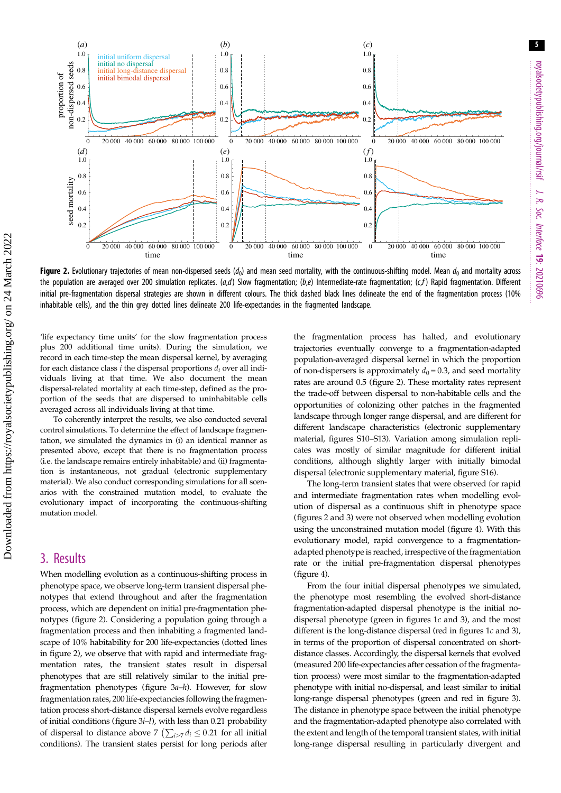<span id="page-4-0"></span>

Figure 2. Evolutionary trajectories of mean non-dispersed seeds ( $d_0$ ) and mean seed mortality, with the continuous-shifting model. Mean  $d_0$  and mortality across the population are averaged over 200 simulation replicates.  $(a,d)$  Slow fragmentation;  $(b,e)$  Intermediate-rate fragmentation;  $(c,f)$  Rapid fragmentation. Different initial pre-fragmentation dispersal strategies are shown in different colours. The thick dashed black lines delineate the end of the fragmentation process (10% inhabitable cells), and the thin grey dotted lines delineate 200 life-expectancies in the fragmented landscape.

'life expectancy time units' for the slow fragmentation process plus 200 additional time units). During the simulation, we record in each time-step the mean dispersal kernel, by averaging for each distance class  $i$  the dispersal proportions  $d_i$  over all individuals living at that time. We also document the mean dispersal-related mortality at each time-step, defined as the proportion of the seeds that are dispersed to uninhabitable cells averaged across all individuals living at that time.

To coherently interpret the results, we also conducted several control simulations. To determine the effect of landscape fragmentation, we simulated the dynamics in (i) an identical manner as presented above, except that there is no fragmentation process (i.e. the landscape remains entirely inhabitable) and (ii) fragmentation is instantaneous, not gradual (electronic supplementary material). We also conduct corresponding simulations for all scenarios with the constrained mutation model, to evaluate the evolutionary impact of incorporating the continuous-shifting mutation model.

## 3. Results

When modelling evolution as a continuous-shifting process in phenotype space, we observe long-term transient dispersal phenotypes that extend throughout and after the fragmentation process, which are dependent on initial pre-fragmentation phenotypes (figure 2). Considering a population going through a fragmentation process and then inhabiting a fragmented landscape of 10% habitability for 200 life-expectancies (dotted lines in figure 2), we observe that with rapid and intermediate fragmentation rates, the transient states result in dispersal phenotypes that are still relatively similar to the initial prefragmentation phenotypes [\(figure 3](#page-5-0)a–h). However, for slow fragmentation rates, 200 life-expectancies following the fragmentation process short-distance dispersal kernels evolve regardless of initial conditions (figure  $3i-1$ ), with less than 0.21 probability of dispersal to distance above 7  $\left( \sum_{i>7} d_i \leq 0.21 \right)$  for all initial conditions). The transient states persist for long periods after the fragmentation process has halted, and evolutionary trajectories eventually converge to a fragmentation-adapted population-averaged dispersal kernel in which the proportion of non-dispersers is approximately  $d_0 = 0.3$ , and seed mortality rates are around 0.5 (figure 2). These mortality rates represent the trade-off between dispersal to non-habitable cells and the opportunities of colonizing other patches in the fragmented landscape through longer range dispersal, and are different for different landscape characteristics (electronic supplementary material, figures S10–S13). Variation among simulation replicates was mostly of similar magnitude for different initial conditions, although slightly larger with initially bimodal dispersal (electronic supplementary material, figure S16).

The long-term transient states that were observed for rapid and intermediate fragmentation rates when modelling evolution of dispersal as a continuous shift in phenotype space (figures 2 and [3](#page-5-0)) were not observed when modelling evolution using the unconstrained mutation model ([figure 4\)](#page-5-0). With this evolutionary model, rapid convergence to a fragmentationadapted phenotype is reached, irrespective of the fragmentation rate or the initial pre-fragmentation dispersal phenotypes ([figure 4\)](#page-5-0).

From the four initial dispersal phenotypes we simulated, the phenotype most resembling the evolved short-distance fragmentation-adapted dispersal phenotype is the initial nodispersal phenotype (green in figures  $1c$  and  $3$ ), and the most different is the long-distance dispersal (red in figures [1](#page-2-0)c and [3\)](#page-5-0), in terms of the proportion of dispersal concentrated on shortdistance classes. Accordingly, the dispersal kernels that evolved (measured 200 life-expectancies after cessation of the fragmentation process) were most similar to the fragmentation-adapted phenotype with initial no-dispersal, and least similar to initial long-range dispersal phenotypes (green and red in [figure 3\)](#page-5-0). The distance in phenotype space between the initial phenotype and the fragmentation-adapted phenotype also correlated with the extent and length of the temporal transient states, with initial long-range dispersal resulting in particularly divergent and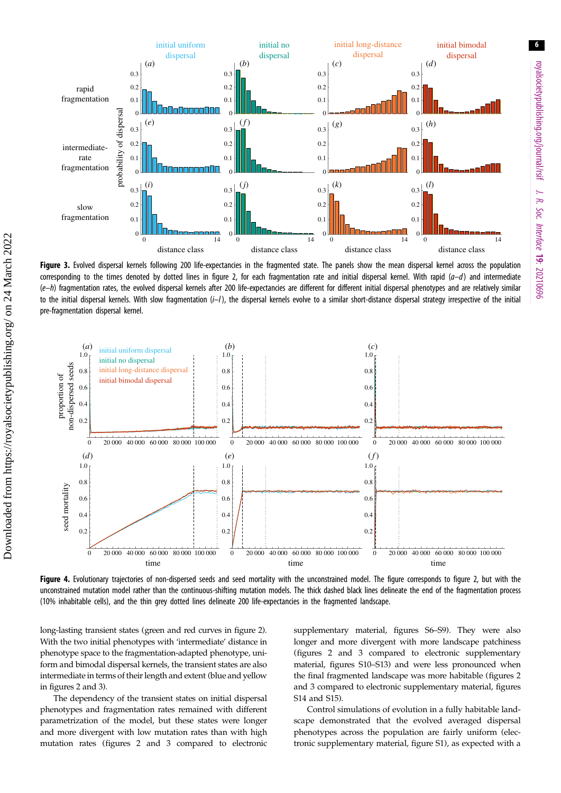<span id="page-5-0"></span>

Figure 3. Evolved dispersal kernels following 200 life-expectancies in the fragmented state. The panels show the mean dispersal kernel across the population corresponding to the times denoted by dotted lines in [figure 2](#page-4-0), for each fragmentation rate and initial dispersal kernel. With rapid  $(a-d)$  and intermediate  $(e-h)$  fragmentation rates, the evolved dispersal kernels after 200 life-expectancies are different for different initial dispersal phenotypes and are relatively similar to the initial dispersal kernels. With slow fragmentation  $(i-1)$ , the dispersal kernels evolve to a similar short-distance dispersal strategy irrespective of the initial pre-fragmentation dispersal kernel.



Figure 4. Evolutionary trajectories of non-dispersed seeds and seed mortality with the unconstrained model. The figure corresponds to [figure 2](#page-4-0), but with the unconstrained mutation model rather than the continuous-shifting mutation models. The thick dashed black lines delineate the end of the fragmentation process (10% inhabitable cells), and the thin grey dotted lines delineate 200 life-expectancies in the fragmented landscape.

long-lasting transient states (green and red curves in [figure 2](#page-4-0)). With the two initial phenotypes with 'intermediate' distance in phenotype space to the fragmentation-adapted phenotype, uniform and bimodal dispersal kernels, the transient states are also intermediate in terms of their length and extent (blue and yellow in figures [2](#page-4-0) and 3).

Downloaded from https://royalsocietypublishing.org/ on 24 March 2022

Downloaded from https://royalsocietypublishing.org/ on 24 March 2022

The dependency of the transient states on initial dispersal phenotypes and fragmentation rates remained with different parametrization of the model, but these states were longer and more divergent with low mutation rates than with high mutation rates (figures [2](#page-4-0) and 3 compared to electronic supplementary material, figures S6–S9). They were also longer and more divergent with more landscape patchiness (figures [2](#page-4-0) and 3 compared to electronic supplementary material, figures S10–S13) and were less pronounced when the final fragmented landscape was more habitable (figures [2](#page-4-0) and 3 compared to electronic supplementary material, figures S14 and S15).

Control simulations of evolution in a fully habitable landscape demonstrated that the evolved averaged dispersal phenotypes across the population are fairly uniform (electronic supplementary material, figure S1), as expected with a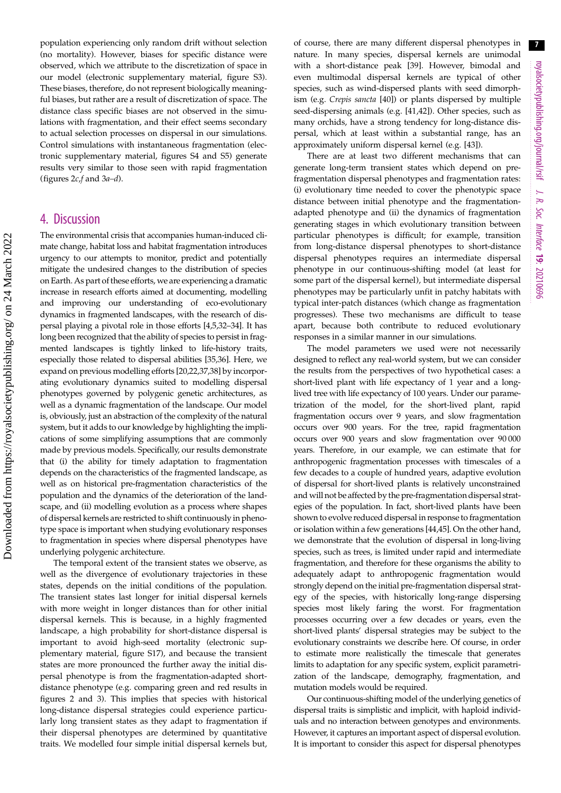population experiencing only random drift without selection (no mortality). However, biases for specific distance were observed, which we attribute to the discretization of space in our model (electronic supplementary material, figure S3). These biases, therefore, do not represent biologically meaningful biases, but rather are a result of discretization of space. The distance class specific biases are not observed in the simulations with fragmentation, and their effect seems secondary to actual selection processes on dispersal in our simulations. Control simulations with instantaneous fragmentation (electronic supplementary material, figures S4 and S5) generate results very similar to those seen with rapid fragmentation (figures  $2c$ , f and  $3a-d$ ).

## 4. Discussion

The environmental crisis that accompanies human-induced climate change, habitat loss and habitat fragmentation introduces urgency to our attempts to monitor, predict and potentially mitigate the undesired changes to the distribution of species on Earth. As part of these efforts, we are experiencing a dramatic increase in research efforts aimed at documenting, modelling and improving our understanding of eco-evolutionary dynamics in fragmented landscapes, with the research of dispersal playing a pivotal role in those efforts [[4,5,](#page-7-0)[32](#page-8-0)–[34\]](#page-8-0). It has long been recognized that the ability of species to persist in fragmented landscapes is tightly linked to life-history traits, especially those related to dispersal abilities [\[35,36](#page-8-0)]. Here, we expand on previous modelling efforts [[20,22,37,38\]](#page-8-0) by incorporating evolutionary dynamics suited to modelling dispersal phenotypes governed by polygenic genetic architectures, as well as a dynamic fragmentation of the landscape. Our model is, obviously, just an abstraction of the complexity of the natural system, but it adds to our knowledge by highlighting the implications of some simplifying assumptions that are commonly made by previous models. Specifically, our results demonstrate that (i) the ability for timely adaptation to fragmentation depends on the characteristics of the fragmented landscape, as well as on historical pre-fragmentation characteristics of the population and the dynamics of the deterioration of the landscape, and (ii) modelling evolution as a process where shapes of dispersal kernels are restricted to shift continuously in phenotype space is important when studying evolutionary responses to fragmentation in species where dispersal phenotypes have underlying polygenic architecture.

The temporal extent of the transient states we observe, as well as the divergence of evolutionary trajectories in these states, depends on the initial conditions of the population. The transient states last longer for initial dispersal kernels with more weight in longer distances than for other initial dispersal kernels. This is because, in a highly fragmented landscape, a high probability for short-distance dispersal is important to avoid high-seed mortality (electronic supplementary material, figure S17), and because the transient states are more pronounced the further away the initial dispersal phenotype is from the fragmentation-adapted shortdistance phenotype (e.g. comparing green and red results in figures [2](#page-4-0) and [3\)](#page-5-0). This implies that species with historical long-distance dispersal strategies could experience particularly long transient states as they adapt to fragmentation if their dispersal phenotypes are determined by quantitative traits. We modelled four simple initial dispersal kernels but,

of course, there are many different dispersal phenotypes in nature. In many species, dispersal kernels are unimodal with a short-distance peak [\[39](#page-8-0)]. However, bimodal and even multimodal dispersal kernels are typical of other species, such as wind-dispersed plants with seed dimorphism (e.g. Crepis sancta [[40\]](#page-8-0)) or plants dispersed by multiple seed-dispersing animals (e.g. [[41,42](#page-8-0)]). Other species, such as many orchids, have a strong tendency for long-distance dispersal, which at least within a substantial range, has an approximately uniform dispersal kernel (e.g. [\[43\]](#page-8-0)).

There are at least two different mechanisms that can generate long-term transient states which depend on prefragmentation dispersal phenotypes and fragmentation rates: (i) evolutionary time needed to cover the phenotypic space distance between initial phenotype and the fragmentationadapted phenotype and (ii) the dynamics of fragmentation generating stages in which evolutionary transition between particular phenotypes is difficult; for example, transition from long-distance dispersal phenotypes to short-distance dispersal phenotypes requires an intermediate dispersal phenotype in our continuous-shifting model (at least for some part of the dispersal kernel), but intermediate dispersal phenotypes may be particularly unfit in patchy habitats with typical inter-patch distances (which change as fragmentation progresses). These two mechanisms are difficult to tease apart, because both contribute to reduced evolutionary responses in a similar manner in our simulations.

The model parameters we used were not necessarily designed to reflect any real-world system, but we can consider the results from the perspectives of two hypothetical cases: a short-lived plant with life expectancy of 1 year and a longlived tree with life expectancy of 100 years. Under our parametrization of the model, for the short-lived plant, rapid fragmentation occurs over 9 years, and slow fragmentation occurs over 900 years. For the tree, rapid fragmentation occurs over 900 years and slow fragmentation over 90 000 years. Therefore, in our example, we can estimate that for anthropogenic fragmentation processes with timescales of a few decades to a couple of hundred years, adaptive evolution of dispersal for short-lived plants is relatively unconstrained and will not be affected by the pre-fragmentation dispersal strategies of the population. In fact, short-lived plants have been shown to evolve reduced dispersal in response to fragmentation or isolation within a few generations [\[44,45](#page-8-0)]. On the other hand, we demonstrate that the evolution of dispersal in long-living species, such as trees, is limited under rapid and intermediate fragmentation, and therefore for these organisms the ability to adequately adapt to anthropogenic fragmentation would strongly depend on the initial pre-fragmentation dispersal strategy of the species, with historically long-range dispersing species most likely faring the worst. For fragmentation processes occurring over a few decades or years, even the short-lived plants' dispersal strategies may be subject to the evolutionary constraints we describe here. Of course, in order to estimate more realistically the timescale that generates limits to adaptation for any specific system, explicit parametrization of the landscape, demography, fragmentation, and mutation models would be required.

Our continuous-shifting model of the underlying genetics of dispersal traits is simplistic and implicit, with haploid individuals and no interaction between genotypes and environments. However, it captures an important aspect of dispersal evolution. It is important to consider this aspect for dispersal phenotypes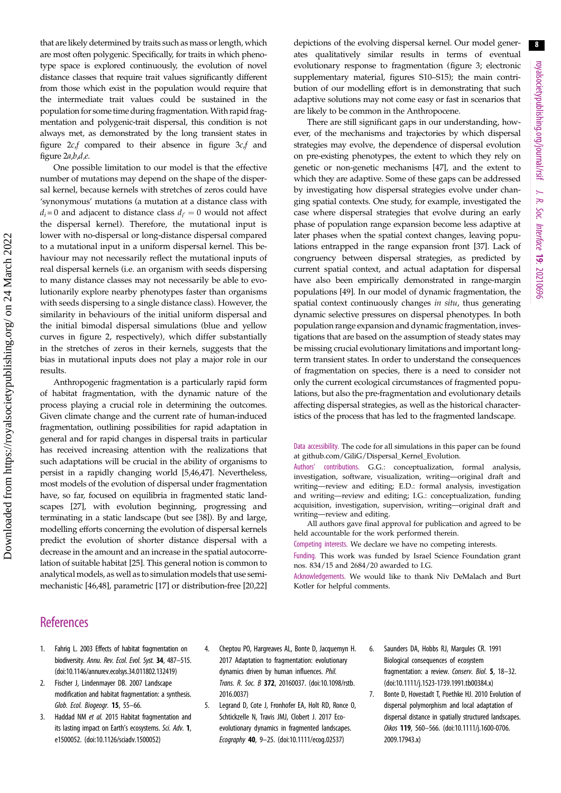<span id="page-7-0"></span>that are likely determined by traits such as mass or length, which are most often polygenic. Specifically, for traits in which phenotype space is explored continuously, the evolution of novel distance classes that require trait values significantly different from those which exist in the population would require that the intermediate trait values could be sustained in the population for some time during fragmentation.With rapid fragmentation and polygenic-trait dispersal, this condition is not always met, as demonstrated by the long transient states in [figure 2](#page-4-0)c,f compared to their absence in [figure 3](#page-5-0)c,f and [figure 2](#page-4-0)a,b,d,e.

One possible limitation to our model is that the effective number of mutations may depend on the shape of the dispersal kernel, because kernels with stretches of zeros could have 'synonymous' mutations (a mutation at a distance class with  $d_i$ =0 and adjacent to distance class  $d_{i'} = 0$  would not affect the dispersal kernel). Therefore, the mutational input is lower with no-dispersal or long-distance dispersal compared to a mutational input in a uniform dispersal kernel. This behaviour may not necessarily reflect the mutational inputs of real dispersal kernels (i.e. an organism with seeds dispersing to many distance classes may not necessarily be able to evolutionarily explore nearby phenotypes faster than organisms with seeds dispersing to a single distance class). However, the similarity in behaviours of the initial uniform dispersal and the initial bimodal dispersal simulations (blue and yellow curves in [figure 2](#page-4-0), respectively), which differ substantially in the stretches of zeros in their kernels, suggests that the bias in mutational inputs does not play a major role in our results.

Anthropogenic fragmentation is a particularly rapid form of habitat fragmentation, with the dynamic nature of the process playing a crucial role in determining the outcomes. Given climate change and the current rate of human-induced fragmentation, outlining possibilities for rapid adaptation in general and for rapid changes in dispersal traits in particular has received increasing attention with the realizations that such adaptations will be crucial in the ability of organisms to persist in a rapidly changing world [5[,46,47](#page-8-0)]. Nevertheless, most models of the evolution of dispersal under fragmentation have, so far, focused on equilibria in fragmented static landscapes [[27](#page-8-0)], with evolution beginning, progressing and terminating in a static landscape (but see [[38\]](#page-8-0)). By and large, modelling efforts concerning the evolution of dispersal kernels predict the evolution of shorter distance dispersal with a decrease in the amount and an increase in the spatial autocorrelation of suitable habitat [\[25\]](#page-8-0). This general notion is common to analytical models, as well as to simulation models that use semimechanistic [\[46,48](#page-8-0)], parametric [\[17\]](#page-8-0) or distribution-free [[20,22\]](#page-8-0)

depictions of the evolving dispersal kernel. Our model generates qualitatively similar results in terms of eventual evolutionary response to fragmentation [\(figure 3](#page-5-0); electronic supplementary material, figures S10–S15); the main contribution of our modelling effort is in demonstrating that such adaptive solutions may not come easy or fast in scenarios that are likely to be common in the Anthropocene.

There are still significant gaps in our understanding, however, of the mechanisms and trajectories by which dispersal strategies may evolve, the dependence of dispersal evolution on pre-existing phenotypes, the extent to which they rely on genetic or non-genetic mechanisms [\[47\]](#page-8-0), and the extent to which they are adaptive. Some of these gaps can be addressed by investigating how dispersal strategies evolve under changing spatial contexts. One study, for example, investigated the case where dispersal strategies that evolve during an early phase of population range expansion become less adaptive at later phases when the spatial context changes, leaving populations entrapped in the range expansion front [[37](#page-8-0)]. Lack of congruency between dispersal strategies, as predicted by current spatial context, and actual adaptation for dispersal have also been empirically demonstrated in range-margin populations [\[49](#page-8-0)]. In our model of dynamic fragmentation, the spatial context continuously changes in situ, thus generating dynamic selective pressures on dispersal phenotypes. In both population range expansion and dynamic fragmentation, investigations that are based on the assumption of steady states may be missing crucial evolutionary limitations and important longterm transient states. In order to understand the consequences of fragmentation on species, there is a need to consider not only the current ecological circumstances of fragmented populations, but also the pre-fragmentation and evolutionary details affecting dispersal strategies, as well as the historical characteristics of the process that has led to the fragmented landscape.

Data accessibility. The code for all simulations in this paper can be found at github.com/GiliG/Dispersal\_Kernel\_Evolution.

Authors' contributions. G.G.: conceptualization, formal analysis, investigation, software, visualization, writing—original draft and writing—review and editing; E.D.: formal analysis, investigation and writing—review and editing; I.G.: conceptualization, funding acquisition, investigation, supervision, writing—original draft and writing—review and editing.

All authors gave final approval for publication and agreed to be held accountable for the work performed therein.

Competing interests. We declare we have no competing interests.

Funding. This work was funded by Israel Science Foundation grant nos. 834/15 and 2684/20 awarded to I.G.

Acknowledgements. We would like to thank Niv DeMalach and Burt Kotler for helpful comments.

### **References**

- 1. Fahrig L. 2003 Effects of habitat fragmentation on biodiversity. Annu. Rev. Ecol. Evol. Syst. 34, 487-515. [\(doi:10.1146/annurev.ecolsys.34.011802.132419\)](http://dx.doi.org/10.1146/annurev.ecolsys.34.011802.132419)
- 2. Fischer J, Lindenmayer DB. 2007 Landscape modification and habitat fragmentation: a synthesis. Glob. Ecol. Biogeogr. 15, 55–66.
- 3. Haddad NM et al. 2015 Habitat fragmentation and its lasting impact on Earth's ecosystems. Sci. Adv. 1, e1500052. ([doi:10.1126/sciadv.1500052](http://dx.doi.org/10.1126/sciadv.1500052))
- 4. Cheptou PO, Hargreaves AL, Bonte D, Jacquemyn H. 2017 Adaptation to fragmentation: evolutionary dynamics driven by human influences. Phil. Trans. R. Soc. B 372, 20160037. [\(doi:10.1098/rstb.](http://dx.doi.org/10.1098/rstb.2016.0037) [2016.0037\)](http://dx.doi.org/10.1098/rstb.2016.0037)
- 5. Legrand D, Cote J, Fronhofer EA, Holt RD, Ronce O, Schtickzelle N, Travis JMJ, Clobert J. 2017 Ecoevolutionary dynamics in fragmented landscapes. Ecography 40, 9–25. [\(doi:10.1111/ecog.02537](http://dx.doi.org/10.1111/ecog.02537))
- 6. Saunders DA, Hobbs RJ, Margules CR. 1991 Biological consequences of ecosystem fragmentation: a review. Conserv. Biol. 5, 18–32. ([doi:10.1111/j.1523-1739.1991.tb00384.x\)](http://dx.doi.org/10.1111/j.1523-1739.1991.tb00384.x)
- 7. Bonte D, Hovestadt T, Poethke HJ. 2010 Evolution of dispersal polymorphism and local adaptation of dispersal distance in spatially structured landscapes. Oikos 119, 560–566. [\(doi:10.1111/j.1600-0706.](http://dx.doi.org/10.1111/j.1600-0706.2009.17943.x) [2009.17943.x](http://dx.doi.org/10.1111/j.1600-0706.2009.17943.x))